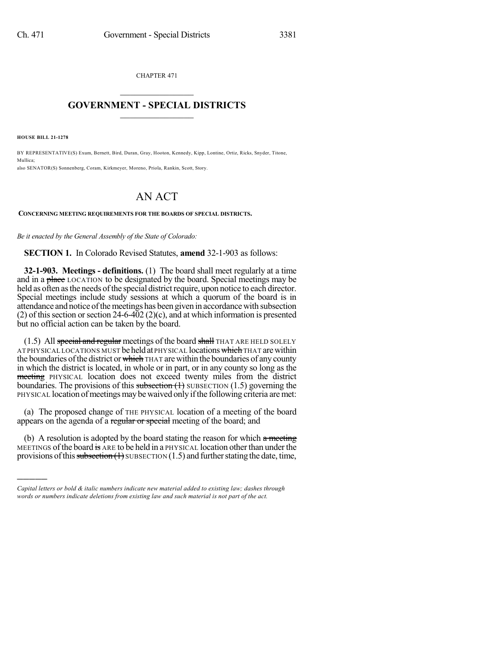CHAPTER 471

## $\overline{\phantom{a}}$  . The set of the set of the set of the set of the set of the set of the set of the set of the set of the set of the set of the set of the set of the set of the set of the set of the set of the set of the set o **GOVERNMENT - SPECIAL DISTRICTS**  $\_$   $\_$

**HOUSE BILL 21-1278**

)))))

BY REPRESENTATIVE(S) Exum, Bernett, Bird, Duran, Gray, Hooton, Kennedy, Kipp, Lontine, Ortiz, Ricks, Snyder, Titone, Mullica; also SENATOR(S) Sonnenberg, Coram, Kirkmeyer, Moreno, Priola, Rankin, Scott, Story.

## AN ACT

**CONCERNING MEETING REQUIREMENTS FOR THE BOARDS OF SPECIAL DISTRICTS.**

*Be it enacted by the General Assembly of the State of Colorado:*

**SECTION 1.** In Colorado Revised Statutes, **amend** 32-1-903 as follows:

**32-1-903. Meetings - definitions.** (1) The board shall meet regularly at a time and in a place LOCATION to be designated by the board. Special meetings may be held as often as the needs of the special district require, upon notice to each director. Special meetings include study sessions at which a quorum of the board is in attendance and notice of the meetings has been given in accordance with subsection (2) of this section or section 24-6-402 (2)(c), and at which information is presented but no official action can be taken by the board.

(1.5) All special and regular meetings of the board shall THAT ARE HELD SOLELY AT PHYSICAL LOCATIONS MUST be held at PHYSICAL locations which THAT are within the boundaries of the district or which THAT are within the boundaries of any county in which the district is located, in whole or in part, or in any county so long as the meeting PHYSICAL location does not exceed twenty miles from the district boundaries. The provisions of this subsection  $(1)$  SUBSECTION  $(1.5)$  governing the PHYSICAL location of meetings may be waived only if the following criteria are met:

(a) The proposed change of THE PHYSICAL location of a meeting of the board appears on the agenda of a regular or special meeting of the board; and

(b) A resolution is adopted by the board stating the reason for which  $\alpha$  meeting MEETINGS of the board is ARE to be held in a PHYSICAL location other than under the provisions of this subsection  $(1)$  SUBSECTION  $(1.5)$  and further stating the date, time,

*Capital letters or bold & italic numbers indicate new material added to existing law; dashes through words or numbers indicate deletions from existing law and such material is not part of the act.*